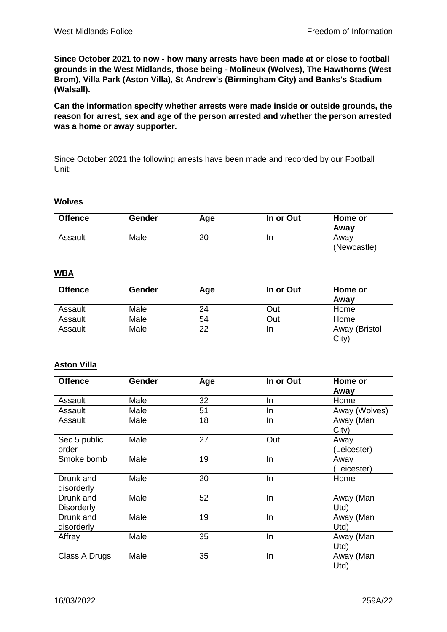**Since October 2021 to now - how many arrests have been made at or close to football grounds in the West Midlands, those being - Molineux (Wolves), The Hawthorns (West Brom), Villa Park (Aston Villa), St Andrew's (Birmingham City) and Banks's Stadium (Walsall).**

**Can the information specify whether arrests were made inside or outside grounds, the reason for arrest, sex and age of the person arrested and whether the person arrested was a home or away supporter.**

Since October 2021 the following arrests have been made and recorded by our Football Unit:

#### **Wolves**

| <b>Offence</b> | Gender | Age | In or Out | Home or<br>Awav     |
|----------------|--------|-----|-----------|---------------------|
| Assault        | Male   | 20  | In        | Away<br>(Newcastle) |

### **WBA**

| <b>Offence</b> | Gender | Age | In or Out | Home or<br>Away |
|----------------|--------|-----|-----------|-----------------|
| Assault        | Male   | 24  | Out       | Home            |
| Assault        | Male   | 54  | Out       | Home            |
| Assault        | Male   | 22  | In        | Away (Bristol   |
|                |        |     |           | City)           |

### **Aston Villa**

| <b>Offence</b>                 | Gender | Age | In or Out | Home or<br>Away     |
|--------------------------------|--------|-----|-----------|---------------------|
| Assault                        | Male   | 32  | In.       | Home                |
| Assault                        | Male   | 51  | In        | Away (Wolves)       |
| Assault                        | Male   | 18  | In        | Away (Man<br>City)  |
| Sec 5 public<br>order          | Male   | 27  | Out       | Away<br>(Leicester) |
| Smoke bomb                     | Male   | 19  | In        | Away<br>(Leicester) |
| Drunk and<br>disorderly        | Male   | 20  | In        | Home                |
| Drunk and<br><b>Disorderly</b> | Male   | 52  | In        | Away (Man<br>Utd    |
| Drunk and<br>disorderly        | Male   | 19  | In        | Away (Man<br>Utd    |
| Affray                         | Male   | 35  | In        | Away (Man<br>Utd    |
| Class A Drugs                  | Male   | 35  | In        | Away (Man<br>Utd    |